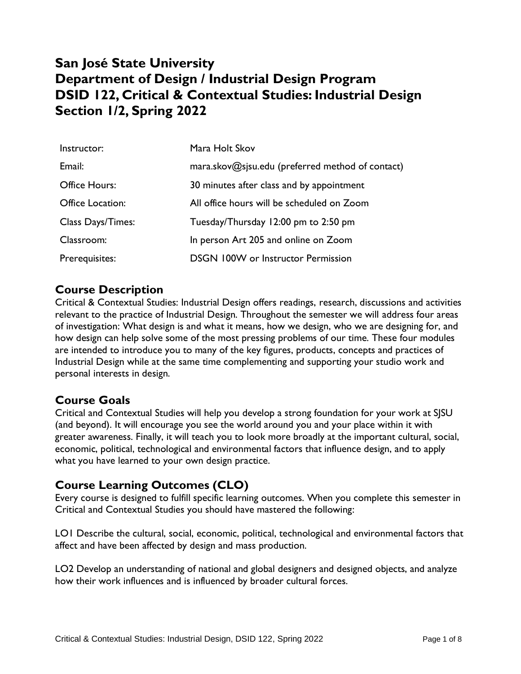## **San José State University Department of Design / Industrial Design Program DSID 122, Critical & Contextual Studies: Industrial Design Section 1/2, Spring 2022**

| Instructor:              | Mara Holt Skov                                   |
|--------------------------|--------------------------------------------------|
| Email:                   | mara.skov@sjsu.edu (preferred method of contact) |
| Office Hours:            | 30 minutes after class and by appointment        |
| Office Location:         | All office hours will be scheduled on Zoom       |
| <b>Class Days/Times:</b> | Tuesday/Thursday 12:00 pm to 2:50 pm             |
| Classroom:               | In person Art 205 and online on Zoom             |
| Prerequisites:           | <b>DSGN 100W or Instructor Permission</b>        |

### **Course Description**

Critical & Contextual Studies: Industrial Design offers readings, research, discussions and activities relevant to the practice of Industrial Design. Throughout the semester we will address four areas of investigation: What design is and what it means, how we design, who we are designing for, and how design can help solve some of the most pressing problems of our time. These four modules are intended to introduce you to many of the key figures, products, concepts and practices of Industrial Design while at the same time complementing and supporting your studio work and personal interests in design.

## **Course Goals**

Critical and Contextual Studies will help you develop a strong foundation for your work at SJSU (and beyond). It will encourage you see the world around you and your place within it with greater awareness. Finally, it will teach you to look more broadly at the important cultural, social, economic, political, technological and environmental factors that influence design, and to apply what you have learned to your own design practice.

## **Course Learning Outcomes (CLO)**

Every course is designed to fulfill specific learning outcomes. When you complete this semester in Critical and Contextual Studies you should have mastered the following:

LO1 Describe the cultural, social, economic, political, technological and environmental factors that affect and have been affected by design and mass production.

LO2 Develop an understanding of national and global designers and designed objects, and analyze how their work influences and is influenced by broader cultural forces.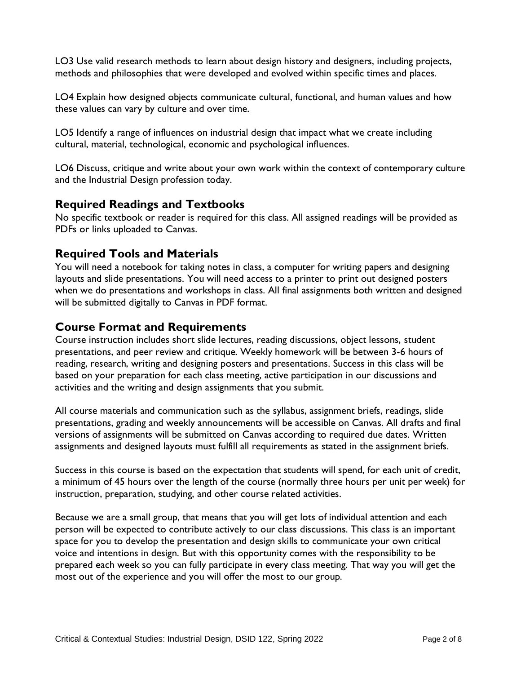LO3 Use valid research methods to learn about design history and designers, including projects, methods and philosophies that were developed and evolved within specific times and places.

LO4 Explain how designed objects communicate cultural, functional, and human values and how these values can vary by culture and over time.

LO5 Identify a range of influences on industrial design that impact what we create including cultural, material, technological, economic and psychological influences.

LO6 Discuss, critique and write about your own work within the context of contemporary culture and the Industrial Design profession today.

#### **Required Readings and Textbooks**

No specific textbook or reader is required for this class. All assigned readings will be provided as PDFs or links uploaded to Canvas.

#### **Required Tools and Materials**

You will need a notebook for taking notes in class, a computer for writing papers and designing layouts and slide presentations. You will need access to a printer to print out designed posters when we do presentations and workshops in class. All final assignments both written and designed will be submitted digitally to Canvas in PDF format.

#### **Course Format and Requirements**

Course instruction includes short slide lectures, reading discussions, object lessons, student presentations, and peer review and critique. Weekly homework will be between 3-6 hours of reading, research, writing and designing posters and presentations. Success in this class will be based on your preparation for each class meeting, active participation in our discussions and activities and the writing and design assignments that you submit.

All course materials and communication such as the syllabus, assignment briefs, readings, slide presentations, grading and weekly announcements will be accessible on Canvas. All drafts and final versions of assignments will be submitted on Canvas according to required due dates. Written assignments and designed layouts must fulfill all requirements as stated in the assignment briefs.

Success in this course is based on the expectation that students will spend, for each unit of credit, a minimum of 45 hours over the length of the course (normally three hours per unit per week) for instruction, preparation, studying, and other course related activities.

Because we are a small group, that means that you will get lots of individual attention and each person will be expected to contribute actively to our class discussions. This class is an important space for you to develop the presentation and design skills to communicate your own critical voice and intentions in design. But with this opportunity comes with the responsibility to be prepared each week so you can fully participate in every class meeting. That way you will get the most out of the experience and you will offer the most to our group.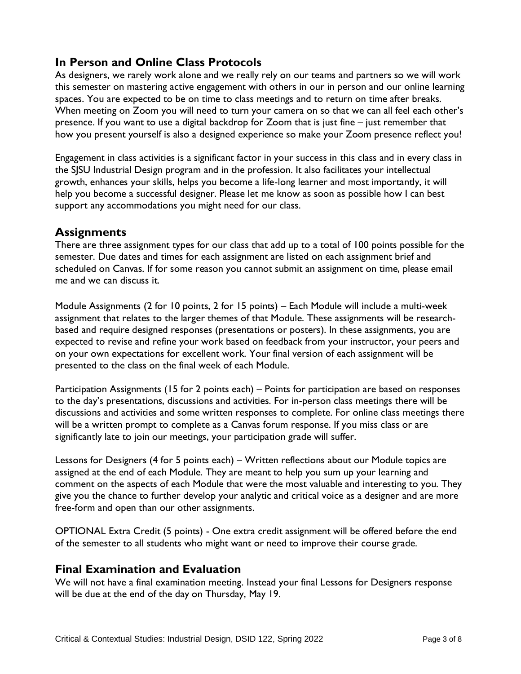### **In Person and Online Class Protocols**

As designers, we rarely work alone and we really rely on our teams and partners so we will work this semester on mastering active engagement with others in our in person and our online learning spaces. You are expected to be on time to class meetings and to return on time after breaks. When meeting on Zoom you will need to turn your camera on so that we can all feel each other's presence. If you want to use a digital backdrop for Zoom that is just fine – just remember that how you present yourself is also a designed experience so make your Zoom presence reflect you!

Engagement in class activities is a significant factor in your success in this class and in every class in the SJSU Industrial Design program and in the profession. It also facilitates your intellectual growth, enhances your skills, helps you become a life-long learner and most importantly, it will help you become a successful designer. Please let me know as soon as possible how I can best support any accommodations you might need for our class.

#### **Assignments**

There are three assignment types for our class that add up to a total of 100 points possible for the semester. Due dates and times for each assignment are listed on each assignment brief and scheduled on Canvas. If for some reason you cannot submit an assignment on time, please email me and we can discuss it.

Module Assignments (2 for 10 points, 2 for 15 points) – Each Module will include a multi-week assignment that relates to the larger themes of that Module. These assignments will be researchbased and require designed responses (presentations or posters). In these assignments, you are expected to revise and refine your work based on feedback from your instructor, your peers and on your own expectations for excellent work. Your final version of each assignment will be presented to the class on the final week of each Module.

Participation Assignments (15 for 2 points each) – Points for participation are based on responses to the day's presentations, discussions and activities. For in-person class meetings there will be discussions and activities and some written responses to complete. For online class meetings there will be a written prompt to complete as a Canvas forum response. If you miss class or are significantly late to join our meetings, your participation grade will suffer.

Lessons for Designers (4 for 5 points each) – Written reflections about our Module topics are assigned at the end of each Module. They are meant to help you sum up your learning and comment on the aspects of each Module that were the most valuable and interesting to you. They give you the chance to further develop your analytic and critical voice as a designer and are more free-form and open than our other assignments.

OPTIONAL Extra Credit (5 points) - One extra credit assignment will be offered before the end of the semester to all students who might want or need to improve their course grade.

#### **Final Examination and Evaluation**

We will not have a final examination meeting. Instead your final Lessons for Designers response will be due at the end of the day on Thursday, May 19.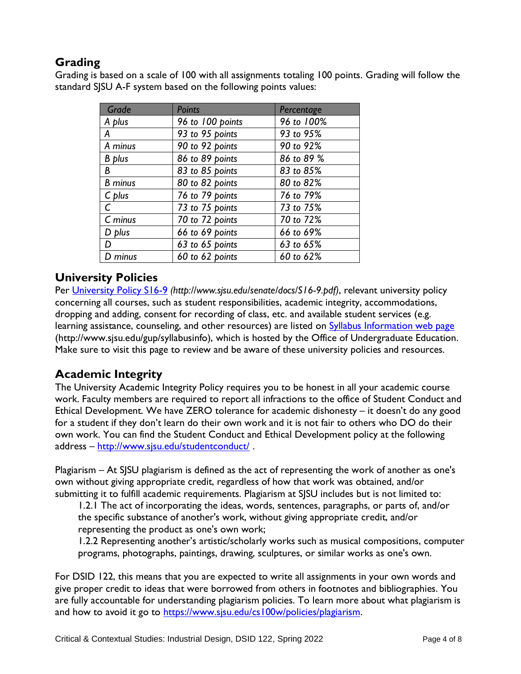## **Grading**

Grading is based on a scale of 100 with all assignments totaling 100 points. Grading will follow the standard SJSU A-F system based on the following points values:

| Grade          | <b>Points</b>    | Percentage |
|----------------|------------------|------------|
| A plus         | 96 to 100 points | 96 to 100% |
| Α              | 93 to 95 points  | 93 to 95%  |
| A minus        | 90 to 92 points  | 90 to 92%  |
| <b>B</b> plus  | 86 to 89 points  | 86 to 89 % |
| B              | 83 to 85 points  | 83 to 85%  |
| <b>B</b> minus | 80 to 82 points  | 80 to 82%  |
| $C$ plus       | 76 to 79 points  | 76 to 79%  |
| $\mathsf{C}$   | 73 to 75 points  | 73 to 75%  |
| $C$ minus      | 70 to 72 points  | 70 to 72%  |
| D plus         | 66 to 69 points  | 66 to 69%  |
| D              | 63 to 65 points  | 63 to 65%  |
| D minus        | 60 to 62 points  | 60 to 62%  |

## **University Policies**

Per [University Policy S16-9](http://www.sjsu.edu/senate/docs/S16-9.pdf) *(http://www.sjsu.edu/senate/docs/S16-9.pdf)*, relevant university policy concerning all courses, such as student responsibilities, academic integrity, accommodations, dropping and adding, consent for recording of class, etc. and available student services (e.g. learning assistance, counseling, and other resources) are listed on [Syllabus Information web page](http://www.sjsu.edu/gup/syllabusinfo/) (http://www.sjsu.edu/gup/syllabusinfo), which is hosted by the Office of Undergraduate Education. Make sure to visit this page to review and be aware of these university policies and resources.

## **Academic Integrity**

The University Academic Integrity Policy requires you to be honest in all your academic course work. Faculty members are required to report all infractions to the office of Student Conduct and Ethical Development. We have ZERO tolerance for academic dishonesty – it doesn't do any good for a student if they don't learn do their own work and it is not fair to others who DO do their own work. You can find the Student Conduct and Ethical Development policy at the following address – <http://www.sjsu.edu/studentconduct/>.

Plagiarism – At SJSU plagiarism is defined as the act of representing the work of another as one's own without giving appropriate credit, regardless of how that work was obtained, and/or submitting it to fulfill academic requirements. Plagiarism at SJSU includes but is not limited to:

1.2.1 The act of incorporating the ideas, words, sentences, paragraphs, or parts of, and/or the specific substance of another's work, without giving appropriate credit, and/or representing the product as one's own work;

1.2.2 Representing another's artistic/scholarly works such as musical compositions, computer programs, photographs, paintings, drawing, sculptures, or similar works as one's own.

For DSID 122, this means that you are expected to write all assignments in your own words and give proper credit to ideas that were borrowed from others in footnotes and bibliographies. You are fully accountable for understanding plagiarism policies. To learn more about what plagiarism is and how to avoid it go to [https://www.sjsu.edu/cs100w/policies/plagiarism.](https://www.sjsu.edu/cs100w/policies/plagiarism)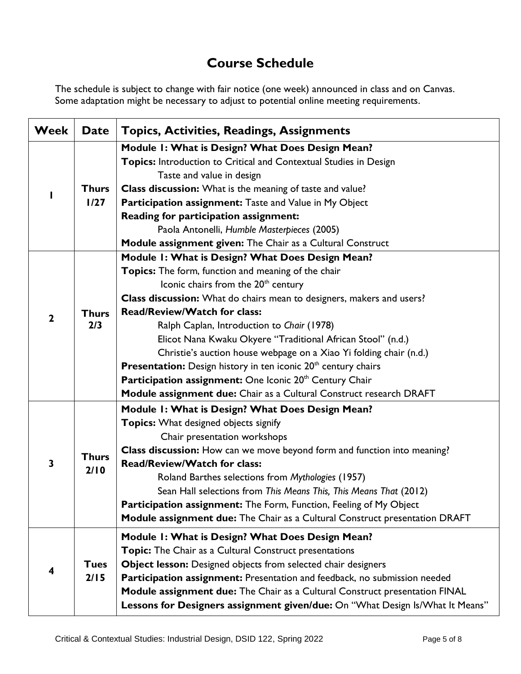# **Course Schedule**

The schedule is subject to change with fair notice (one week) announced in class and on Canvas. Some adaptation might be necessary to adjust to potential online meeting requirements.

| <b>Week</b>  | <b>Date</b>          | <b>Topics, Activities, Readings, Assignments</b>                              |
|--------------|----------------------|-------------------------------------------------------------------------------|
|              |                      | Module 1: What is Design? What Does Design Mean?                              |
|              |                      | Topics: Introduction to Critical and Contextual Studies in Design             |
|              |                      | Taste and value in design                                                     |
|              | <b>Thurs</b><br>1/27 | Class discussion: What is the meaning of taste and value?                     |
|              |                      | Participation assignment: Taste and Value in My Object                        |
|              |                      | Reading for participation assignment:                                         |
|              |                      | Paola Antonelli, Humble Masterpieces (2005)                                   |
|              |                      | Module assignment given: The Chair as a Cultural Construct                    |
|              |                      | Module 1: What is Design? What Does Design Mean?                              |
|              |                      | Topics: The form, function and meaning of the chair                           |
|              |                      | Iconic chairs from the 20 <sup>th</sup> century                               |
|              |                      | Class discussion: What do chairs mean to designers, makers and users?         |
| $\mathbf{2}$ | <b>Thurs</b>         | Read/Review/Watch for class:                                                  |
|              | 2/3                  | Ralph Caplan, Introduction to Chair (1978)                                    |
|              |                      | Elicot Nana Kwaku Okyere "Traditional African Stool" (n.d.)                   |
|              |                      | Christie's auction house webpage on a Xiao Yi folding chair (n.d.)            |
|              |                      | Presentation: Design history in ten iconic 20 <sup>th</sup> century chairs    |
|              |                      | Participation assignment: One Iconic 20th Century Chair                       |
|              |                      | Module assignment due: Chair as a Cultural Construct research DRAFT           |
|              |                      | Module 1: What is Design? What Does Design Mean?                              |
|              | <b>Thurs</b><br>2/10 | <b>Topics:</b> What designed objects signify                                  |
|              |                      | Chair presentation workshops                                                  |
|              |                      | Class discussion: How can we move beyond form and function into meaning?      |
| 3            |                      | <b>Read/Review/Watch for class:</b>                                           |
|              |                      | Roland Barthes selections from Mythologies (1957)                             |
|              |                      | Sean Hall selections from This Means This, This Means That (2012)             |
|              |                      | Participation assignment: The Form, Function, Feeling of My Object            |
|              |                      | Module assignment due: The Chair as a Cultural Construct presentation DRAFT   |
|              |                      | Module 1: What is Design? What Does Design Mean?                              |
|              | <b>Tues</b><br>2/15  | Topic: The Chair as a Cultural Construct presentations                        |
|              |                      | Object lesson: Designed objects from selected chair designers                 |
|              |                      | Participation assignment: Presentation and feedback, no submission needed     |
|              |                      | Module assignment due: The Chair as a Cultural Construct presentation FINAL   |
|              |                      | Lessons for Designers assignment given/due: On "What Design Is/What It Means" |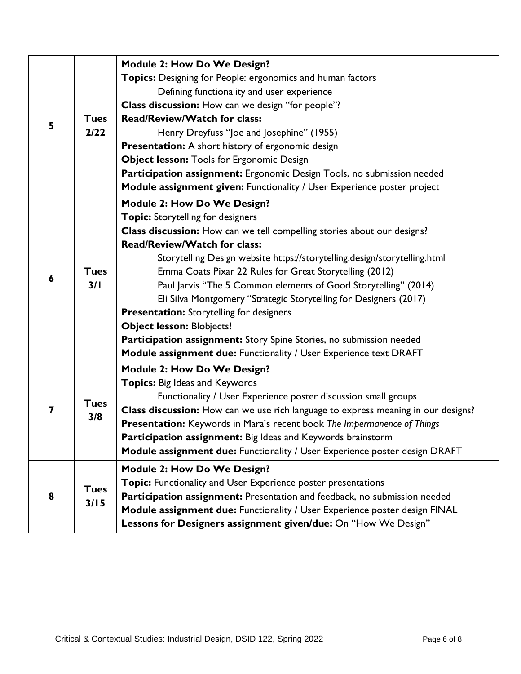| 5 |                     | <b>Module 2: How Do We Design?</b>                                                |
|---|---------------------|-----------------------------------------------------------------------------------|
|   |                     | Topics: Designing for People: ergonomics and human factors                        |
|   |                     | Defining functionality and user experience                                        |
|   | <b>Tues</b><br>2/22 | Class discussion: How can we design "for people"?                                 |
|   |                     | <b>Read/Review/Watch for class:</b>                                               |
|   |                     | Henry Dreyfuss "Joe and Josephine" (1955)                                         |
|   |                     | <b>Presentation:</b> A short history of ergonomic design                          |
|   |                     | <b>Object lesson: Tools for Ergonomic Design</b>                                  |
|   |                     | Participation assignment: Ergonomic Design Tools, no submission needed            |
|   |                     | Module assignment given: Functionality / User Experience poster project           |
|   |                     | <b>Module 2: How Do We Design?</b>                                                |
|   |                     | <b>Topic:</b> Storytelling for designers                                          |
|   |                     | Class discussion: How can we tell compelling stories about our designs?           |
|   |                     | <b>Read/Review/Watch for class:</b>                                               |
|   |                     | Storytelling Design website https://storytelling.design/storytelling.html         |
| 6 | <b>Tues</b>         | Emma Coats Pixar 22 Rules for Great Storytelling (2012)                           |
|   | 3/1                 | Paul Jarvis "The 5 Common elements of Good Storytelling" (2014)                   |
|   |                     | Eli Silva Montgomery "Strategic Storytelling for Designers (2017)                 |
|   |                     | <b>Presentation:</b> Storytelling for designers                                   |
|   |                     | <b>Object lesson: Blobjects!</b>                                                  |
|   |                     | Participation assignment: Story Spine Stories, no submission needed               |
|   |                     | Module assignment due: Functionality / User Experience text DRAFT                 |
|   |                     | <b>Module 2: How Do We Design?</b>                                                |
|   | <b>Tues</b><br>3/8  | Topics: Big Ideas and Keywords                                                    |
|   |                     | Functionality / User Experience poster discussion small groups                    |
| 7 |                     | Class discussion: How can we use rich language to express meaning in our designs? |
|   |                     | Presentation: Keywords in Mara's recent book The Impermanence of Things           |
|   |                     | Participation assignment: Big Ideas and Keywords brainstorm                       |
|   |                     | Module assignment due: Functionality / User Experience poster design DRAFT        |
|   |                     | <b>Module 2: How Do We Design?</b>                                                |
|   | <b>Tues</b><br>3/15 | Topic: Functionality and User Experience poster presentations                     |
| 8 |                     | Participation assignment: Presentation and feedback, no submission needed         |
|   |                     | Module assignment due: Functionality / User Experience poster design FINAL        |
|   |                     | Lessons for Designers assignment given/due: On "How We Design"                    |
|   |                     |                                                                                   |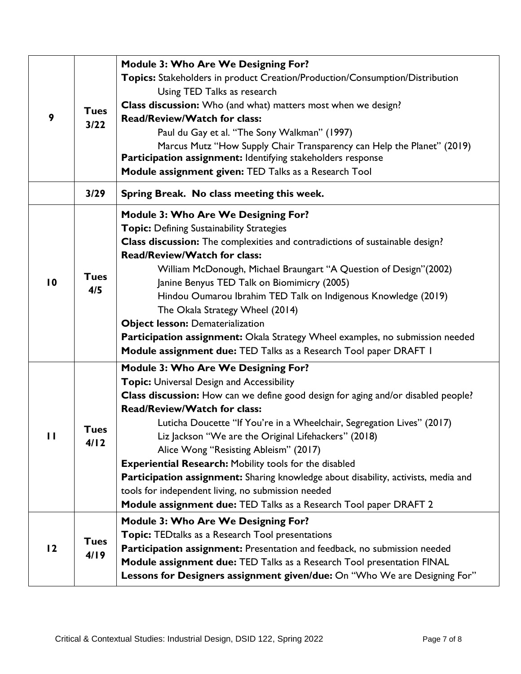| 9               | <b>Tues</b><br>$3/22$ | <b>Module 3: Who Are We Designing For?</b><br>Topics: Stakeholders in product Creation/Production/Consumption/Distribution<br>Using TED Talks as research<br>Class discussion: Who (and what) matters most when we design?<br><b>Read/Review/Watch for class:</b><br>Paul du Gay et al. "The Sony Walkman" (1997)<br>Marcus Mutz "How Supply Chair Transparency can Help the Planet" (2019)<br>Participation assignment: Identifying stakeholders response<br>Module assignment given: TED Talks as a Research Tool                                                                                                                                                                     |
|-----------------|-----------------------|-----------------------------------------------------------------------------------------------------------------------------------------------------------------------------------------------------------------------------------------------------------------------------------------------------------------------------------------------------------------------------------------------------------------------------------------------------------------------------------------------------------------------------------------------------------------------------------------------------------------------------------------------------------------------------------------|
|                 | 3/29                  | Spring Break. No class meeting this week.                                                                                                                                                                                                                                                                                                                                                                                                                                                                                                                                                                                                                                               |
| $\overline{10}$ | <b>Tues</b><br>4/5    | <b>Module 3: Who Are We Designing For?</b><br><b>Topic: Defining Sustainability Strategies</b><br><b>Class discussion:</b> The complexities and contradictions of sustainable design?<br><b>Read/Review/Watch for class:</b><br>William McDonough, Michael Braungart "A Question of Design" (2002)<br>Janine Benyus TED Talk on Biomimicry (2005)<br>Hindou Oumarou Ibrahim TED Talk on Indigenous Knowledge (2019)<br>The Okala Strategy Wheel (2014)<br><b>Object lesson: Dematerialization</b><br>Participation assignment: Okala Strategy Wheel examples, no submission needed<br>Module assignment due: TED Talks as a Research Tool paper DRAFT I                                 |
| $\mathbf{I}$    | Tues<br>4/12          | <b>Module 3: Who Are We Designing For?</b><br><b>Topic:</b> Universal Design and Accessibility<br>Class discussion: How can we define good design for aging and/or disabled people?<br><b>Read/Review/Watch for class:</b><br>Luticha Doucette "If You're in a Wheelchair, Segregation Lives" (2017)<br>Liz Jackson "We are the Original Lifehackers" (2018)<br>Alice Wong "Resisting Ableism" (2017)<br><b>Experiential Research: Mobility tools for the disabled</b><br>Participation assignment: Sharing knowledge about disability, activists, media and<br>tools for independent living, no submission needed<br>Module assignment due: TED Talks as a Research Tool paper DRAFT 2 |
| 12              | <b>Tues</b><br>4/19   | <b>Module 3: Who Are We Designing For?</b><br><b>Topic: TEDtalks as a Research Tool presentations</b><br>Participation assignment: Presentation and feedback, no submission needed<br>Module assignment due: TED Talks as a Research Tool presentation FINAL<br>Lessons for Designers assignment given/due: On "Who We are Designing For"                                                                                                                                                                                                                                                                                                                                               |